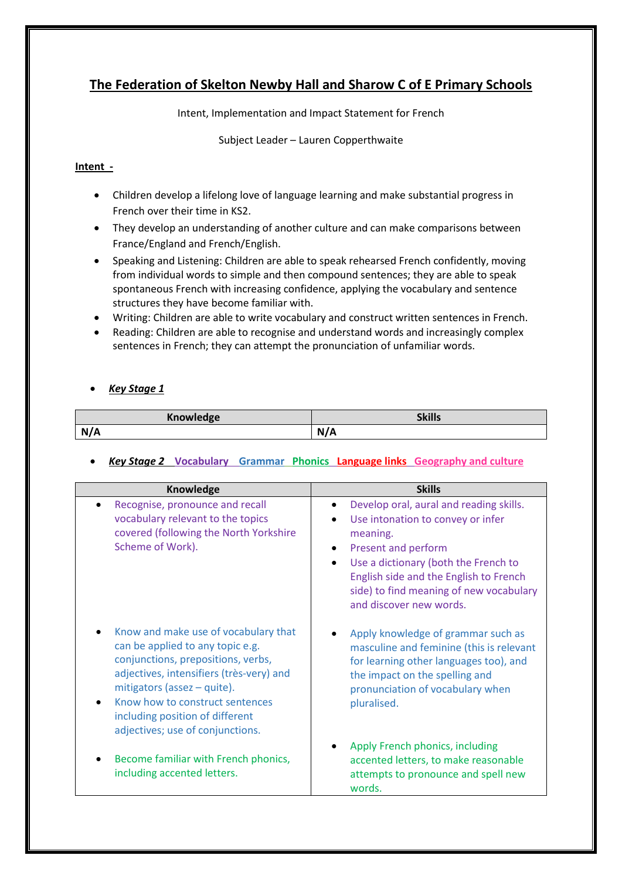# **The Federation of Skelton Newby Hall and Sharow C of E Primary Schools**

Intent, Implementation and Impact Statement for French

Subject Leader – Lauren Copperthwaite

## **Intent -**

- Children develop a lifelong love of language learning and make substantial progress in French over their time in KS2.
- They develop an understanding of another culture and can make comparisons between France/England and French/English.
- Speaking and Listening: Children are able to speak rehearsed French confidently, moving from individual words to simple and then compound sentences; they are able to speak spontaneous French with increasing confidence, applying the vocabulary and sentence structures they have become familiar with.
- Writing: Children are able to write vocabulary and construct written sentences in French.
- Reading: Children are able to recognise and understand words and increasingly complex sentences in French; they can attempt the pronunciation of unfamiliar words.

# *Key Stage 1*

| <b>Knowledge</b> | <b>Skills</b> |
|------------------|---------------|
| N/A              | NI /<br>N/A   |

# *Key Stage 2* **Vocabulary Grammar Phonics Language links Geography and culture**

| Knowledge                                                                                                                                                                                                                                                                                           | <b>Skills</b>                                                                                                                                                                                                                                                           |
|-----------------------------------------------------------------------------------------------------------------------------------------------------------------------------------------------------------------------------------------------------------------------------------------------------|-------------------------------------------------------------------------------------------------------------------------------------------------------------------------------------------------------------------------------------------------------------------------|
| Recognise, pronounce and recall<br>vocabulary relevant to the topics<br>covered (following the North Yorkshire<br>Scheme of Work).                                                                                                                                                                  | Develop oral, aural and reading skills.<br>Use intonation to convey or infer<br>meaning.<br>Present and perform<br>Use a dictionary (both the French to<br>English side and the English to French<br>side) to find meaning of new vocabulary<br>and discover new words. |
| Know and make use of vocabulary that<br>can be applied to any topic e.g.<br>conjunctions, prepositions, verbs,<br>adjectives, intensifiers (très-very) and<br>mitigators (assez - quite).<br>Know how to construct sentences<br>including position of different<br>adjectives; use of conjunctions. | Apply knowledge of grammar such as<br>masculine and feminine (this is relevant<br>for learning other languages too), and<br>the impact on the spelling and<br>pronunciation of vocabulary when<br>pluralised.                                                           |
| Become familiar with French phonics,<br>including accented letters.                                                                                                                                                                                                                                 | Apply French phonics, including<br>accented letters, to make reasonable<br>attempts to pronounce and spell new<br>words.                                                                                                                                                |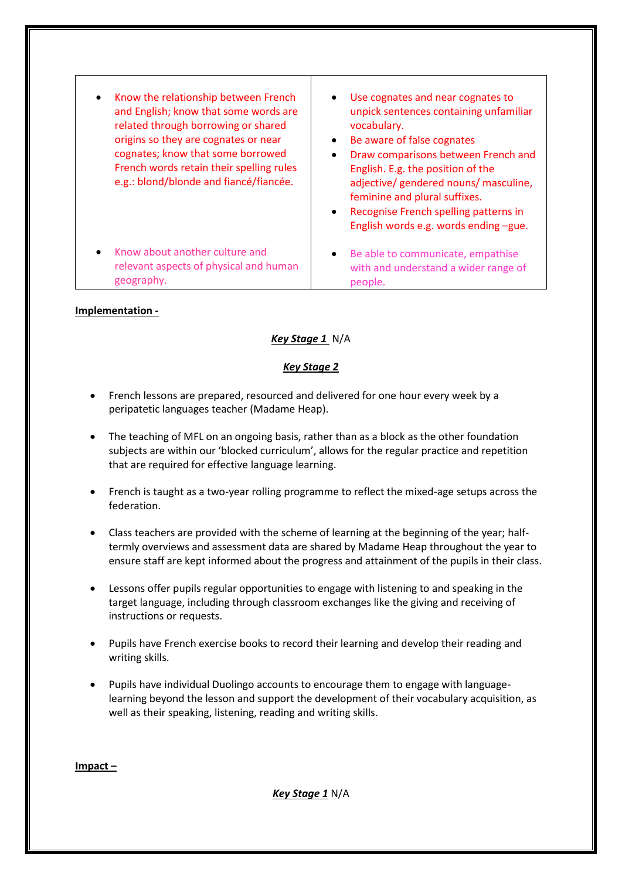| Know the relationship between French<br>and English; know that some words are<br>related through borrowing or shared<br>origins so they are cognates or near<br>cognates; know that some borrowed<br>French words retain their spelling rules<br>e.g.: blond/blonde and fiancé/fiancée. | Use cognates and near cognates to<br>unpick sentences containing unfamiliar<br>vocabulary.<br>Be aware of false cognates<br>Draw comparisons between French and<br>English. E.g. the position of the<br>adjective/ gendered nouns/ masculine,<br>feminine and plural suffixes.<br>Recognise French spelling patterns in<br>English words e.g. words ending -gue. |
|-----------------------------------------------------------------------------------------------------------------------------------------------------------------------------------------------------------------------------------------------------------------------------------------|------------------------------------------------------------------------------------------------------------------------------------------------------------------------------------------------------------------------------------------------------------------------------------------------------------------------------------------------------------------|
| Know about another culture and                                                                                                                                                                                                                                                          | Be able to communicate, empathise                                                                                                                                                                                                                                                                                                                                |
| relevant aspects of physical and human                                                                                                                                                                                                                                                  | with and understand a wider range of                                                                                                                                                                                                                                                                                                                             |
| geography.                                                                                                                                                                                                                                                                              | people.                                                                                                                                                                                                                                                                                                                                                          |

#### **Implementation -**

### *Key Stage 1* N/A

### *Key Stage 2*

- French lessons are prepared, resourced and delivered for one hour every week by a peripatetic languages teacher (Madame Heap).
- The teaching of MFL on an ongoing basis, rather than as a block as the other foundation subjects are within our 'blocked curriculum', allows for the regular practice and repetition that are required for effective language learning.
- French is taught as a two-year rolling programme to reflect the mixed-age setups across the federation.
- Class teachers are provided with the scheme of learning at the beginning of the year; halftermly overviews and assessment data are shared by Madame Heap throughout the year to ensure staff are kept informed about the progress and attainment of the pupils in their class.
- Lessons offer pupils regular opportunities to engage with listening to and speaking in the target language, including through classroom exchanges like the giving and receiving of instructions or requests.
- Pupils have French exercise books to record their learning and develop their reading and writing skills.
- Pupils have individual Duolingo accounts to encourage them to engage with languagelearning beyond the lesson and support the development of their vocabulary acquisition, as well as their speaking, listening, reading and writing skills.

**Impact –**

*Key Stage 1* N/A